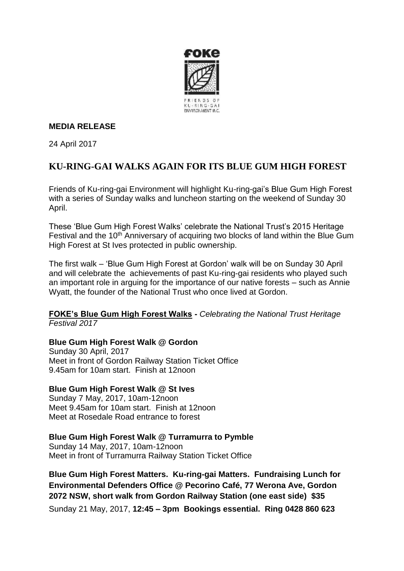

### **MEDIA RELEASE**

24 April 2017

# **KU-RING-GAI WALKS AGAIN FOR ITS BLUE GUM HIGH FOREST**

Friends of Ku-ring-gai Environment will highlight Ku-ring-gai's Blue Gum High Forest with a series of Sunday walks and luncheon starting on the weekend of Sunday 30 April.

These 'Blue Gum High Forest Walks' celebrate the National Trust's 2015 Heritage Festival and the 10<sup>th</sup> Anniversary of acquiring two blocks of land within the Blue Gum High Forest at St Ives protected in public ownership.

The first walk – 'Blue Gum High Forest at Gordon' walk will be on Sunday 30 April and will celebrate the achievements of past Ku-ring-gai residents who played such an important role in arguing for the importance of our native forests – such as Annie Wyatt, the founder of the National Trust who once lived at Gordon.

**FOKE's Blue Gum High Forest Walks -** *Celebrating the National Trust Heritage Festival 2017* 

#### **Blue Gum High Forest Walk @ Gordon**

Sunday 30 April, 2017 Meet in front of Gordon Railway Station Ticket Office 9.45am for 10am start. Finish at 12noon

## **Blue Gum High Forest Walk @ St Ives**

Sunday 7 May, 2017, 10am-12noon Meet 9.45am for 10am start. Finish at 12noon Meet at Rosedale Road entrance to forest

#### **Blue Gum High Forest Walk @ Turramurra to Pymble**

Sunday 14 May, 2017, 10am-12noon Meet in front of Turramurra Railway Station Ticket Office

**Blue Gum High Forest Matters. Ku-ring-gai Matters. Fundraising Lunch for Environmental Defenders Office @ Pecorino Café, 77 Werona Ave, Gordon 2072 NSW, short walk from Gordon Railway Station (one east side) \$35** Sunday 21 May, 2017, **12:45 – 3pm Bookings essential. Ring 0428 860 623**